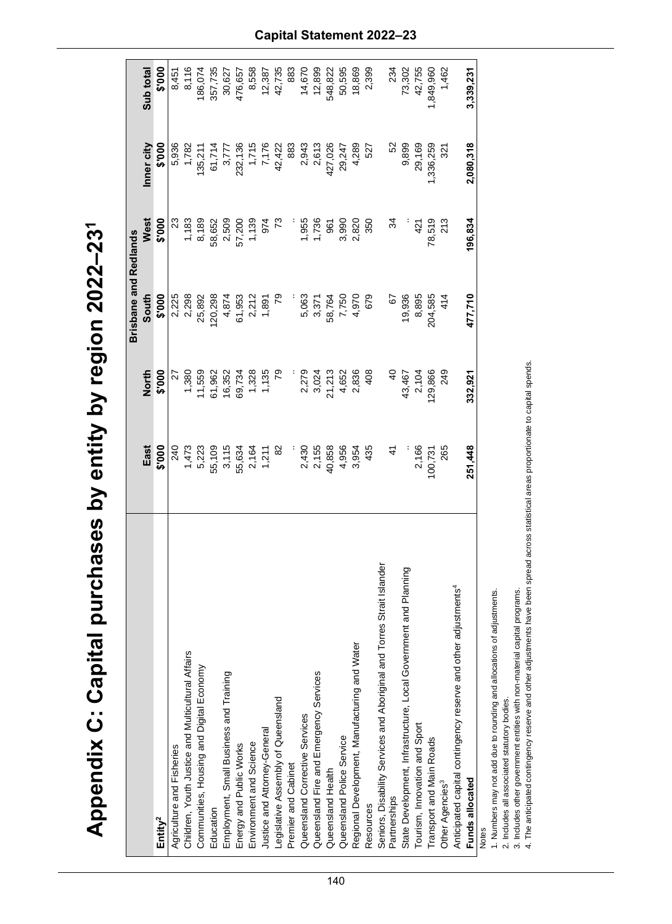| )                                                |
|--------------------------------------------------|
|                                                  |
|                                                  |
| $\sum_{i=1}^{n}$                                 |
|                                                  |
|                                                  |
|                                                  |
|                                                  |
| ١                                                |
|                                                  |
|                                                  |
|                                                  |
|                                                  |
|                                                  |
|                                                  |
|                                                  |
|                                                  |
|                                                  |
|                                                  |
|                                                  |
|                                                  |
| C: Capital purchases by entity by region 2022-23 |
|                                                  |
| Appendix (                                       |
|                                                  |
|                                                  |
|                                                  |
|                                                  |
| $\overline{\mathbf{r}}$                          |

|                                                                                                                   |                                             |                          | <b>Brisbane and Redlands</b>     |                                              |                                                                  |                            |
|-------------------------------------------------------------------------------------------------------------------|---------------------------------------------|--------------------------|----------------------------------|----------------------------------------------|------------------------------------------------------------------|----------------------------|
|                                                                                                                   | East                                        | <b>North</b>             | South                            | West                                         | Inner city                                                       | Sub total                  |
| Entity <sup>2</sup>                                                                                               | \$'000                                      | \$'000                   | \$'000                           | \$'000                                       | \$'000                                                           | 000.\$                     |
| Agriculture and Fisheries                                                                                         | 240                                         | 27                       |                                  | $\boldsymbol{\mathcal{Z}}$                   | 5,936                                                            | 8,451                      |
| Children, Youth Justice and Multicultural Affairs                                                                 | 1,473                                       | 1,380                    | 2,225<br>2,298                   | 1,183                                        | 1,782                                                            | 8,116                      |
| Communities, Housing and Digital Economy                                                                          |                                             | 11,559                   | 25,892                           |                                              |                                                                  | 186,074                    |
| Education                                                                                                         |                                             | 61,962                   | 20,298                           |                                              |                                                                  | 357,735                    |
| Employment, Small Business and Training                                                                           |                                             | 16,352                   | 4,874                            |                                              |                                                                  | 30,627                     |
| Energy and Public Works                                                                                           | 5,223<br>55,109<br>55,634<br>2,164<br>2,164 |                          | $61,953$<br>2,212<br>1,891       | 8,189<br>58,652<br>57,200<br>57,139<br>1,139 | 135,211<br>61,714<br>8,777<br>3,7136<br>1,715<br>1,176<br>42,422 |                            |
| Environment and Science                                                                                           |                                             | 69,734<br>1,328<br>1,135 |                                  |                                              |                                                                  | 476,657<br>8,558<br>12,387 |
| Justice and Attorney-General                                                                                      |                                             |                          |                                  |                                              |                                                                  |                            |
| Legislative Assembly of Queensland                                                                                | $\frac{82}{5}$                              | $\mathcal{E}$            |                                  |                                              |                                                                  | 42,735                     |
| Premier and Cabinet                                                                                               |                                             |                          |                                  |                                              | 883                                                              | 883                        |
| Queensland Corrective Services                                                                                    |                                             | 2,279                    |                                  | 1,955                                        | 2,943                                                            | 14,670                     |
| Queensland Fire and Emergency Services                                                                            |                                             | 3,024                    |                                  | 1,736                                        | 2,613                                                            | 12,899                     |
| Queensland Health                                                                                                 | 2,430<br>2,155<br>40,858                    | 21,213                   | 5,063<br>3,371<br>7,750<br>7,750 | 961                                          | 427,026                                                          | 548,822                    |
| Queensland Police Service                                                                                         | 4,956                                       | 4,652                    |                                  | 3,990                                        | 29,247                                                           | 50,595                     |
| Regional Development, Manufacturing and Water                                                                     | 3,954                                       | 2,836                    | 4,970                            | 2,820                                        | 4,289                                                            | 18,869                     |
| Resources                                                                                                         | 435                                         | 408                      | 679                              | 350                                          | 527                                                              | 2,399                      |
| Seniors, Disability Services and Aboriginal and Torres Strait Islander<br>Partnerships                            |                                             |                          |                                  |                                              |                                                                  |                            |
|                                                                                                                   | 4                                           | $rac{1}{2}$              | $\overline{6}$                   | ಸ                                            | 52                                                               | 234                        |
| State Development, Infrastructure, Local Government and Planning                                                  |                                             | 43,467                   | 19,936                           |                                              | 9,899                                                            | 73,302                     |
| Tourism, Innovation and Sport                                                                                     | 2,166                                       | 2,104                    | 8,895                            | 421                                          | 29,169                                                           | 42,755                     |
| Transport and Main Roads                                                                                          | 100,731                                     | 129,866                  | 204,585                          | 78,519                                       | ,336,259                                                         | 1,849,960                  |
| Other Agencies <sup>3</sup>                                                                                       | 265                                         | 249                      | 414                              | 213                                          | 321                                                              | 1,462                      |
| other adjustments <sup>4</sup><br>Anticipated capital contingency reserve and                                     |                                             |                          |                                  |                                              |                                                                  |                            |
| Funds allocated                                                                                                   | 251,448                                     | 332,921                  | 477,710                          | 196,834                                      | 2,080,318                                                        | 3,339,231                  |
| مغمم معنون بنام مراجع معدنات<br>مص الصلاة المستخدمة من الملاحقة من المصر من من من المسر الملك الم<br><b>Notes</b> |                                             |                          |                                  |                                              |                                                                  |                            |
|                                                                                                                   |                                             |                          |                                  |                                              |                                                                  |                            |

tions of adjustments. 1. Numbers may not add due to rounding and allocations of adjustments. 1. Numbers may not approve the section of the fact of  $\alpha$ 

2. Includes all associated statutory bodies.

3. Includes other government entities with non-material capital programs.

2. Includes all associated statutory bodies.<br>3. Includes other government entities with non-material capital programs.<br>4. The anticipated contingency reserve and other adjustments have been spread across statistical areas 4. The anticipated contingency reserve and other adjustments have been spread across statistical areas proportionate to capital spends.

## **Capital Statement 2022 –23**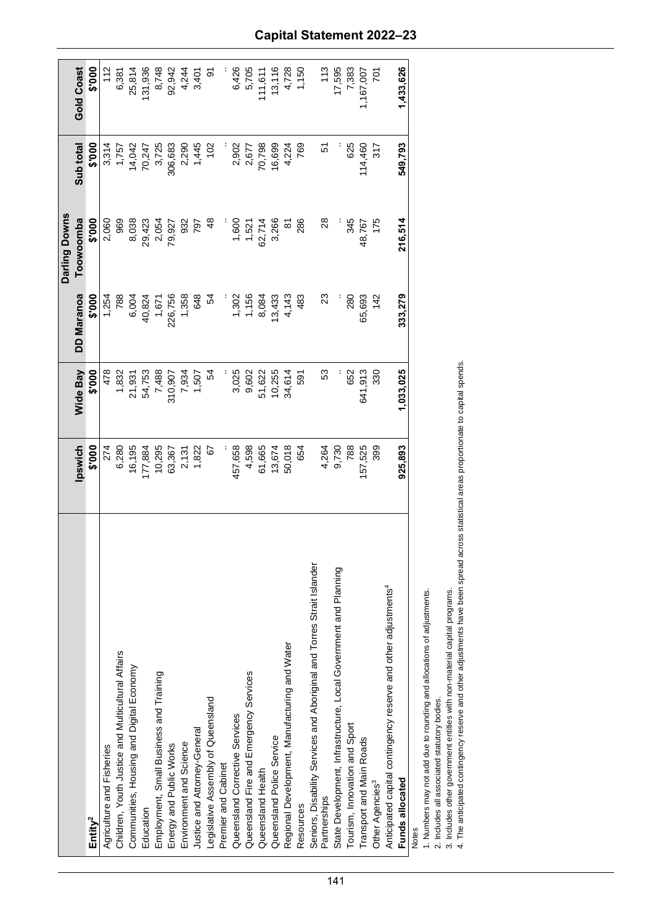|                                                                               |         |                  |                   | Darling Downs      |                  |                                   |
|-------------------------------------------------------------------------------|---------|------------------|-------------------|--------------------|------------------|-----------------------------------|
|                                                                               | Ipswich | <b>Wide Bay</b>  | <b>DD Maranoa</b> | Toowoomba          | Sub total        | <b>Gold Coast</b>                 |
| Entity <sup>2</sup>                                                           | \$'000  | \$'000           | \$'000            | \$'000             | \$'000           | 000.\$                            |
| Agriculture and Fisheries                                                     | 274     | 478              | 1,254             | 2,060              | 3,314            | 112                               |
| Children, Youth Justice and Multicultural Affairs                             | 6,280   | 1,832            | 788               | 969                | 1,757            | 6,381                             |
| Communities, Housing and Digital Economy                                      | 16,195  | 21,931<br>54,753 | 6,004             | 8,038              |                  | 25,814                            |
| Education                                                                     | 177,884 |                  | 40,824            | 29,423             | 14,042<br>70,247 | 131,936                           |
| Employment, Small Business and Training                                       | 10,295  | 7,488            |                   | 2,054<br>79,927    | 3,725            |                                   |
| Energy and Public Works                                                       | 63,367  | 310,907          | 1,671<br>226,756  |                    | 306,683          | 8,748<br>92,942                   |
| Environment and Science                                                       | 2,131   | 7,934            | 1,358             | 932                |                  | 4,244                             |
| Justice and Attorney-General                                                  | 1,822   | 1,507            | 648               | 797                | 2,290<br>1,445   | 3,401                             |
| Legislative Assembly of Queensland                                            | 67      | 54               | 54                | $\frac{8}{3}$      | 102              | $\overline{9}$                    |
| Premier and Cabinet                                                           |         |                  |                   |                    |                  |                                   |
| Queensland Corrective Services                                                | 457,658 | 3,025            |                   |                    | 2,902            | 6,426                             |
| Queensland Fire and Emergency Services                                        | 4,598   | 9,602            | 1,302<br>1,156    | 1,521              | 2,677            | 5,705                             |
| Queensland Health                                                             | 61,665  | 51,622           | 8,084             | 62,714             | 70,798           | 11,611                            |
| Queensland Police Service                                                     | 13,674  | 10,255           | 13,433            | 3,266              | 16,699           |                                   |
| Water<br>Regional Development, Manufacturing and                              | 50,018  | 34,614           | 4,143             | $\frac{1}{\infty}$ | 4,224            | $13, 116$<br>$4, 728$<br>$1, 150$ |
| Resources                                                                     | 654     | 591              | 483               | 286                | 769              |                                   |
| and Torres Strait Islander<br>Seniors, Disability Services and Aboriginal a   |         |                  |                   |                    |                  |                                   |
| Partnerships                                                                  | 4,264   | 53               | 23                | $\frac{8}{2}$      | 5                | 113                               |
| State Development, Infrastructure, Local Government and Planning              | 9,730   |                  |                   |                    |                  | 17,595                            |
| Tourism, Innovation and Sport                                                 | 788     | 652              | 280               | 345                | 625              | 7,383                             |
| Transport and Main Roads                                                      | 157,525 | 641,913          | 65,693            | 48,767             | 114,460          | 1,167,007                         |
| Other Agencies <sup>3</sup>                                                   | 399     | 330              | 142               | 175                | 317              | řδ                                |
| other adjustments <sup>4</sup><br>Anticipated capital contingency reserve and |         |                  |                   |                    |                  |                                   |
| Funds allocated                                                               | 925,893 | 1,033,025        | 333,279           | 216,514            | 549,793          | 1,433,626                         |
| <b>Notes</b>                                                                  |         |                  |                   |                    |                  |                                   |

1. Numbers may not add due to rounding and allocations of adjustments.

2. Includes all associated statutory bodies.

2. Includes all associated statutory bodies.<br>3. Includes other government entities with non-material capital programs.<br>4. The anticipated contingency reserve and other adjustments have been spread across statistical areas 4. The anticipated contingency reserve and other adjustments have been spread across statistical areas proportionate to capital spends. 3. Includes other government entities with non-material capital programs.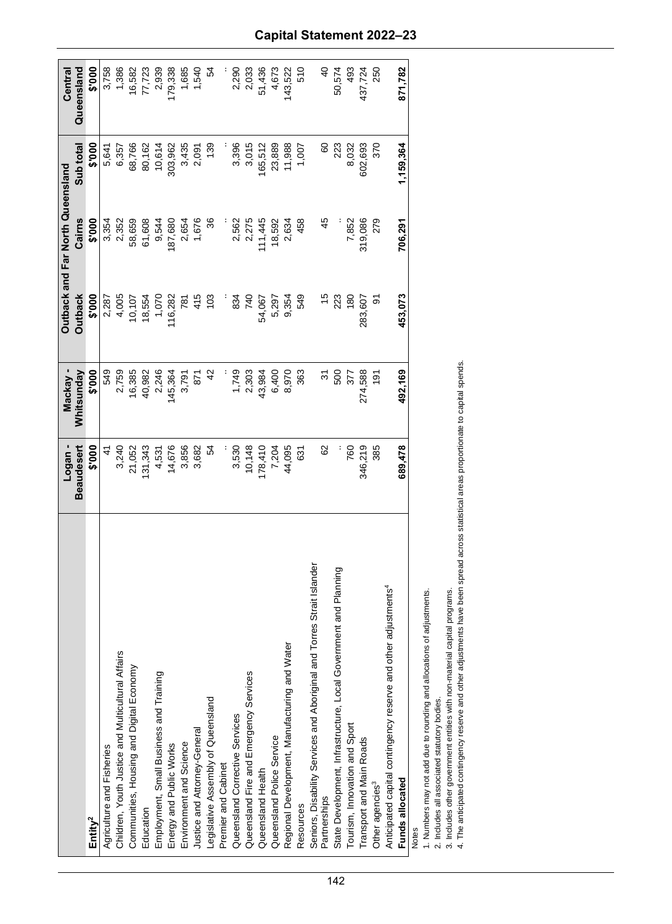|                                                                               | Logan-            | Mackay         |                | <b>Dutback and Far North Queensland</b> |           | Central                 |
|-------------------------------------------------------------------------------|-------------------|----------------|----------------|-----------------------------------------|-----------|-------------------------|
|                                                                               | <b>Beaudesert</b> | Whitsunday     | <b>Outback</b> | Cairns                                  | Sub total | Queensland              |
| Entity <sup>2</sup>                                                           | \$'000            | \$'000         | \$'000         | \$'000                                  | \$'000    | 000.\$                  |
| Agriculture and Fisheries                                                     | $\ddot{4}$        | 549            | 2,287          | 3,354                                   | 5,641     | 3,758                   |
| Children, Youth Justice and Multicultural Affairs                             | 3,240             | 2,759          | 4,005          | 2,352                                   | 6,357     | 1,386                   |
| Communities, Housing and Digital Economy                                      | 21,052            | 16,385         | 10,107         | 58,659                                  | 68,766    |                         |
| Education                                                                     | 131,343           | 40,982         | 18,554         | 61,608                                  | 80,162    | $\frac{16,582}{77,723}$ |
| Employment, Small Business and Training                                       |                   | 2,246          | 1,070          | 9,544                                   | 10,614    | 2,939                   |
| Energy and Public Works                                                       | 4,531<br>14,676   | 145,364        | 116,282        | 187,680                                 | 303,962   | 179,338                 |
| Environment and Science                                                       | 3,856             | 3,791          | 781            | 2,654                                   | 3,435     | 1,685                   |
| Justice and Attorney-General                                                  | 3,682             | 871            | 415            | 1,676                                   | 2,091     | 1,540                   |
| Legislative Assembly of Queensland                                            | 54                |                | 103            |                                         | 139       | 54                      |
| Premier and Cabinet                                                           |                   |                |                |                                         |           |                         |
| Queensland Corrective Services                                                | 3,530             | 1,749          | 834            | 2,562                                   | 3,396     | 2,290                   |
| Queensland Fire and Emergency Services                                        | 10,148            | 2,303          | 740            | 2,275                                   | 3,015     | 2,033                   |
| Queensland Health                                                             | 178,410           | 43,984         | 54,067         | 11,445                                  | 165,512   | 51,436                  |
| Queensland Police Service                                                     | 7,204             | 6,400          | 5,297          | 18,592                                  | 23,889    | 4,673                   |
| Regional Development, Manufacturing and Water                                 | 44,095            | 8,970          | 9,354          | 2,634                                   | 11,988    | 143,522                 |
| Resources                                                                     | 631               | 363            | 549            | 458                                     | 1,007     | 510                     |
| and Torres Strait Islander<br>Seniors, Disability Services and Aboriginal     |                   |                |                |                                         |           |                         |
| Partnerships                                                                  | 8                 | ᢌ              | $\frac{5}{2}$  | 45                                      | 8         | $\frac{1}{2}$           |
| State Development, Infrastructure, Local Government and Planning              |                   | 500            | 223            |                                         | 223       | 50,574                  |
| Tourism, Innovation and Sport                                                 | 760               | 377            | 180            | 7,852                                   | 8,032     | 493                     |
| Transport and Main Roads                                                      | 346,219           | 274,588        | 283,607        | 319,086                                 | 602,693   | 437,724                 |
| Other agencies <sup>3</sup>                                                   | 385               | $\frac{5}{19}$ | 5              | 279                                     | 370       | 250                     |
| other adjustments <sup>4</sup><br>Anticipated capital contingency reserve and |                   |                |                |                                         |           |                         |
| Funds allocated                                                               | 689,478           | 492,169        | 453,073        | 706,291                                 | 1,159,364 | 871,782                 |
| <b>Notes</b>                                                                  |                   |                |                |                                         |           |                         |

|        | <br> <br> <br> <br> |
|--------|---------------------|
|        |                     |
|        |                     |
|        |                     |
| š<br>į |                     |
|        |                     |
|        |                     |

1. Numbers may not add due to rounding and allocations of adjustments. 1. Numbers may not add due to rounding and allocations of adjustments.

2. Includes all associated statutory bodies.

2. Includes all associated statutory bodies.<br>3. Includes other government entities with non-material capital programs.<br>4. The anticipated contingency reserve and other adjustments have been spread across statistical areas 4. The anticipated contingency reserve and other adjustments have been spread across statistical areas proportionate to capital spends. 3. Includes other government entities with non-material capital programs.